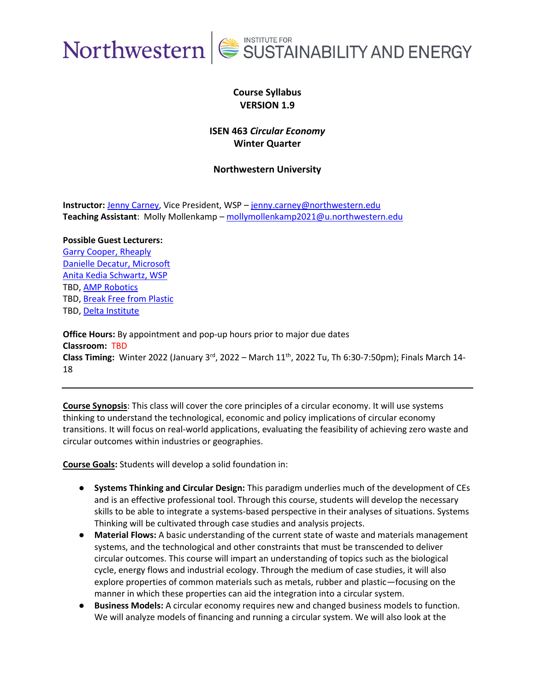

## **Course Syllabus VERSION 1.9**

## **ISEN 463** *Circular Economy* **Winter Quarter**

### **Northwestern University**

**Instructor:** [Jenny Carney,](https://www.linkedin.com/in/jenny-carney/) Vice President, WSP – [jenny.carney@northwestern.edu](mailto:jenny.carney@northwestern.edu) **Teaching Assistant**: Molly Mollenkamp – [mollymollenkamp2021@u.northwestern.edu](mailto:mollymollenkamp2021@u.northwestern.edu)

### **Possible Guest Lecturers:**

[Garry Cooper, Rheaply](https://www.linkedin.com/in/garrycooperphd) [Danielle Decatur, Microsoft](https://www.linkedin.com/in/danielledecatur) [Anita Kedia Schwartz, WSP](https://www.linkedin.com/in/anitakediaschwartz) TBD[, AMP Robotics](https://www.amprobotics.com/) TBD[, Break Free from Plastic](https://www.breakfreefromplastic.org/) TBD[, Delta Institute](https://delta-institute.org/)

**Office Hours:** By appointment and pop-up hours prior to major due dates **Classroom:** TBD **Class Timing:** Winter 2022 (January 3rd, 2022 – March 11th, 2022 Tu, Th 6:30-7:50pm); Finals March 14- 18

**Course Synopsis**: This class will cover the core principles of a circular economy. It will use systems thinking to understand the technological, economic and policy implications of circular economy transitions. It will focus on real-world applications, evaluating the feasibility of achieving zero waste and circular outcomes within industries or geographies.

**Course Goals:** Students will develop a solid foundation in:

- **Systems Thinking and Circular Design:** This paradigm underlies much of the development of CEs and is an effective professional tool. Through this course, students will develop the necessary skills to be able to integrate a systems-based perspective in their analyses of situations. Systems Thinking will be cultivated through case studies and analysis projects.
- **Material Flows:** A basic understanding of the current state of waste and materials management systems, and the technological and other constraints that must be transcended to deliver circular outcomes. This course will impart an understanding of topics such as the biological cycle, energy flows and industrial ecology. Through the medium of case studies, it will also explore properties of common materials such as metals, rubber and plastic—focusing on the manner in which these properties can aid the integration into a circular system.
- **Business Models:** A circular economy requires new and changed business models to function. We will analyze models of financing and running a circular system. We will also look at the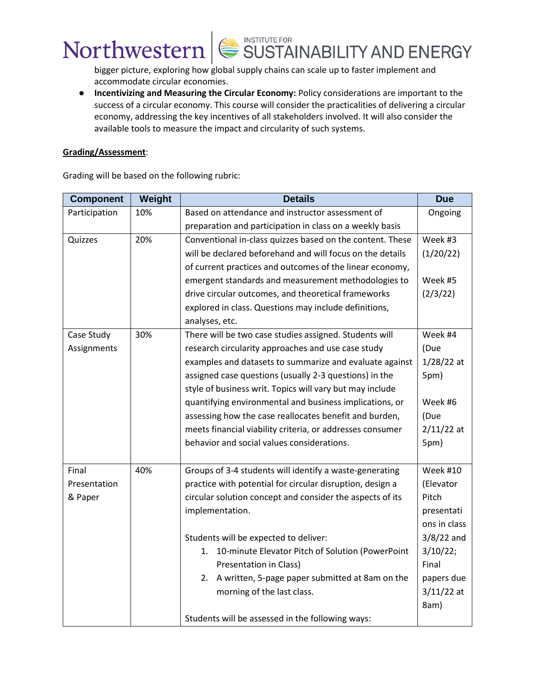bigger picture, exploring how global supply chains can scale up to faster implement and accommodate circular economies.

● **Incentivizing and Measuring the Circular Economy:** Policy considerations are important to the success of a circular economy. This course will consider the practicalities of delivering a circular economy, addressing the key incentives of all stakeholders involved. It will also consider the available tools to measure the impact and circularity of such systems.

### **Grading/Assessment**:

Grading will be based on the following rubric:

| <b>Component</b> | Weight | <b>Details</b>                                            | <b>Due</b>      |
|------------------|--------|-----------------------------------------------------------|-----------------|
| Participation    | 10%    | Based on attendance and instructor assessment of          | Ongoing         |
|                  |        | preparation and participation in class on a weekly basis  |                 |
| Quizzes          | 20%    | Conventional in-class quizzes based on the content. These | Week #3         |
|                  |        | will be declared beforehand and will focus on the details | (1/20/22)       |
|                  |        | of current practices and outcomes of the linear economy,  |                 |
|                  |        | emergent standards and measurement methodologies to       | Week #5         |
|                  |        | drive circular outcomes, and theoretical frameworks       | (2/3/22)        |
|                  |        | explored in class. Questions may include definitions,     |                 |
|                  |        | analyses, etc.                                            |                 |
| Case Study       | 30%    | There will be two case studies assigned. Students will    | Week #4         |
| Assignments      |        | research circularity approaches and use case study        | (Due            |
|                  |        | examples and datasets to summarize and evaluate against   | $1/28/22$ at    |
|                  |        | assigned case questions (usually 2-3 questions) in the    | 5pm)            |
|                  |        | style of business writ. Topics will vary but may include  |                 |
|                  |        | quantifying environmental and business implications, or   | Week #6         |
|                  |        | assessing how the case reallocates benefit and burden,    | (Due            |
|                  |        | meets financial viability criteria, or addresses consumer | $2/11/22$ at    |
|                  |        | behavior and social values considerations.                | 5pm)            |
|                  |        |                                                           |                 |
| Final            | 40%    | Groups of 3-4 students will identify a waste-generating   | <b>Week #10</b> |
| Presentation     |        | practice with potential for circular disruption, design a | (Elevator       |
| & Paper          |        | circular solution concept and consider the aspects of its | Pitch           |
|                  |        | implementation.                                           | presentati      |
|                  |        |                                                           | ons in class    |
|                  |        | Students will be expected to deliver:                     | $3/8/22$ and    |
|                  |        | 10-minute Elevator Pitch of Solution (PowerPoint<br>1.    | 3/10/22;        |
|                  |        | Presentation in Class)                                    | Final           |
|                  |        | A written, 5-page paper submitted at 8am on the<br>2.     | papers due      |
|                  |        | morning of the last class.                                | $3/11/22$ at    |
|                  |        |                                                           | 8am)            |
|                  |        | Students will be assessed in the following ways:          |                 |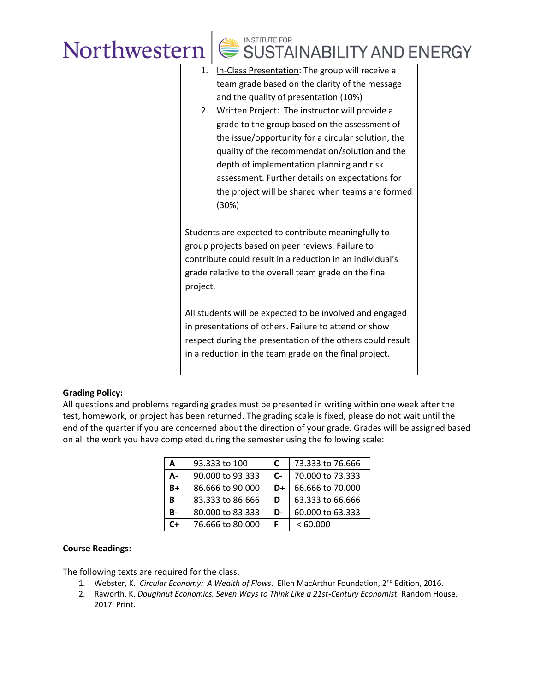# Northwestern  $\left|\bigotimes^{\text{MSTITUTE FOR}}$  SUSTAINABILITY AND ENERGY

| 1.       | In-Class Presentation: The group will receive a            |  |
|----------|------------------------------------------------------------|--|
|          | team grade based on the clarity of the message             |  |
|          | and the quality of presentation (10%)                      |  |
| 2.       | Written Project: The instructor will provide a             |  |
|          | grade to the group based on the assessment of              |  |
|          | the issue/opportunity for a circular solution, the         |  |
|          | quality of the recommendation/solution and the             |  |
|          | depth of implementation planning and risk                  |  |
|          | assessment. Further details on expectations for            |  |
|          | the project will be shared when teams are formed           |  |
|          | (30%)                                                      |  |
|          |                                                            |  |
|          | Students are expected to contribute meaningfully to        |  |
|          | group projects based on peer reviews. Failure to           |  |
|          | contribute could result in a reduction in an individual's  |  |
|          | grade relative to the overall team grade on the final      |  |
| project. |                                                            |  |
|          |                                                            |  |
|          | All students will be expected to be involved and engaged   |  |
|          | in presentations of others. Failure to attend or show      |  |
|          | respect during the presentation of the others could result |  |
|          | in a reduction in the team grade on the final project.     |  |
|          |                                                            |  |
|          |                                                            |  |

### **Grading Policy:**

All questions and problems regarding grades must be presented in writing within one week after the test, homework, or project has been returned. The grading scale is fixed, please do not wait until the end of the quarter if you are concerned about the direction of your grade. Grades will be assigned based on all the work you have completed during the semester using the following scale:

| A  | 93.333 to 100    | C                    | 73.333 to 76.666 |
|----|------------------|----------------------|------------------|
| А- | 90,000 to 93,333 | $\mathsf{C}\text{-}$ | 70,000 to 73,333 |
| B+ | 86.666 to 90.000 | D+                   | 66.666 to 70.000 |
| B  | 83.333 to 86.666 | D                    | 63.333 to 66.666 |
| B- | 80,000 to 83,333 | D-                   | 60,000 to 63,333 |
| C+ | 76.666 to 80.000 |                      | <60.000          |

### **Course Readings:**

The following texts are required for the class.

- 1. Webster, K. *Circular Economy: A Wealth of Flows*. Ellen MacArthur Foundation, 2nd Edition, 2016.
- 2. Raworth, K. *Doughnut Economics. Seven Ways to Think Like a 21st-Century Economist.* Random House, 2017. Print.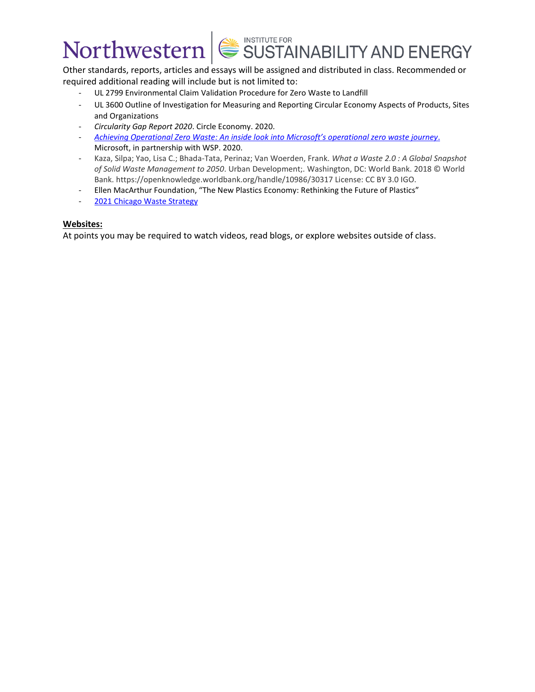Other standards, reports, articles and essays will be assigned and distributed in class. Recommended or required additional reading will include but is not limited to:

- UL 2799 Environmental Claim Validation Procedure for Zero Waste to Landfill
- UL 3600 Outline of Investigation for Measuring and Reporting Circular Economy Aspects of Products, Sites and Organizations
- *Circularity Gap Report 2020*. Circle Economy. 2020.
- *[Achieving Operational Zero Waste: An inside look into Microsoft](https://download.microsoft.com/download/7/2/8/72830831-5d64-4f5c-9f51-e6e38ab1dd55/Zero_Waste_External_Whitepaper.pdf)'s operational zero waste journey*. Microsoft, in partnership with WSP. 2020.
- Kaza, Silpa; Yao, Lisa C.; Bhada-Tata, Perinaz; Van Woerden, Frank. *What a Waste 2.0 : A Global Snapshot of Solid Waste Management to 2050*. Urban Development;. Washington, DC: World Bank. 2018 © World Bank. https://openknowledge.worldbank.org/handle/10986/30317 License: CC BY 3.0 IGO.
- Ellen MacArthur Foundation, "The New Plastics Economy: Rethinking the Future of Plastics"
- 2021 [Chicago Waste Strategy](https://www.chicago.gov/city/en/progs/env/2021-waste-strategy.html)

### **Websites:**

At points you may be required to watch videos, read blogs, or explore websites outside of class.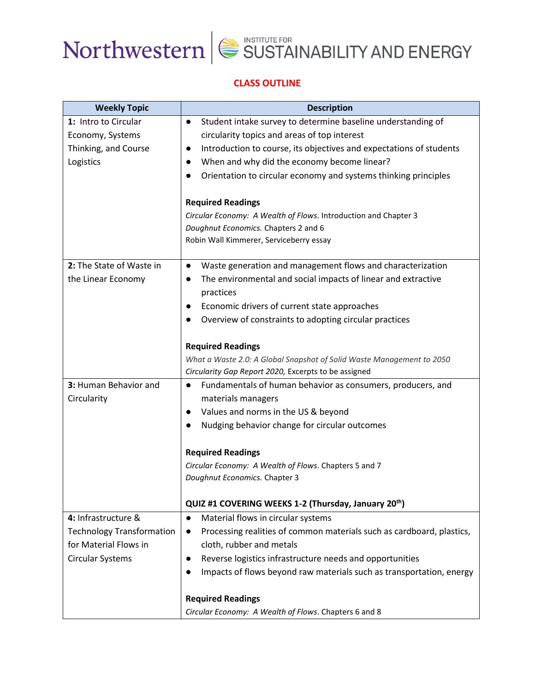### **CLASS OUTLINE**

| <b>Weekly Topic</b>              | <b>Description</b>                                                                 |
|----------------------------------|------------------------------------------------------------------------------------|
| 1: Intro to Circular             | Student intake survey to determine baseline understanding of<br>$\bullet$          |
| Economy, Systems                 | circularity topics and areas of top interest                                       |
| Thinking, and Course             | Introduction to course, its objectives and expectations of students<br>$\bullet$   |
| Logistics                        | When and why did the economy become linear?<br>$\bullet$                           |
|                                  | Orientation to circular economy and systems thinking principles                    |
|                                  |                                                                                    |
|                                  | <b>Required Readings</b>                                                           |
|                                  | Circular Economy: A Wealth of Flows. Introduction and Chapter 3                    |
|                                  | Doughnut Economics. Chapters 2 and 6                                               |
|                                  | Robin Wall Kimmerer, Serviceberry essay                                            |
| 2: The State of Waste in         | Waste generation and management flows and characterization<br>$\bullet$            |
| the Linear Economy               | The environmental and social impacts of linear and extractive<br>$\bullet$         |
|                                  | practices                                                                          |
|                                  | Economic drivers of current state approaches<br>$\bullet$                          |
|                                  | Overview of constraints to adopting circular practices                             |
|                                  |                                                                                    |
|                                  | <b>Required Readings</b>                                                           |
|                                  | What a Waste 2.0: A Global Snapshot of Solid Waste Management to 2050              |
|                                  | Circularity Gap Report 2020, Excerpts to be assigned                               |
| 3: Human Behavior and            | Fundamentals of human behavior as consumers, producers, and<br>$\bullet$           |
| Circularity                      | materials managers                                                                 |
|                                  | Values and norms in the US & beyond<br>$\bullet$                                   |
|                                  | Nudging behavior change for circular outcomes                                      |
|                                  | <b>Required Readings</b>                                                           |
|                                  | Circular Economy: A Wealth of Flows. Chapters 5 and 7                              |
|                                  | Doughnut Economics. Chapter 3                                                      |
|                                  |                                                                                    |
|                                  | QUIZ #1 COVERING WEEKS 1-2 (Thursday, January 20th)                                |
| 4: Infrastructure &              | Material flows in circular systems<br>$\bullet$                                    |
| <b>Technology Transformation</b> | Processing realities of common materials such as cardboard, plastics,<br>$\bullet$ |
| for Material Flows in            | cloth, rubber and metals                                                           |
| Circular Systems                 | Reverse logistics infrastructure needs and opportunities<br>$\bullet$              |
|                                  | Impacts of flows beyond raw materials such as transportation, energy               |
|                                  | <b>Required Readings</b>                                                           |
|                                  | Circular Economy: A Wealth of Flows. Chapters 6 and 8                              |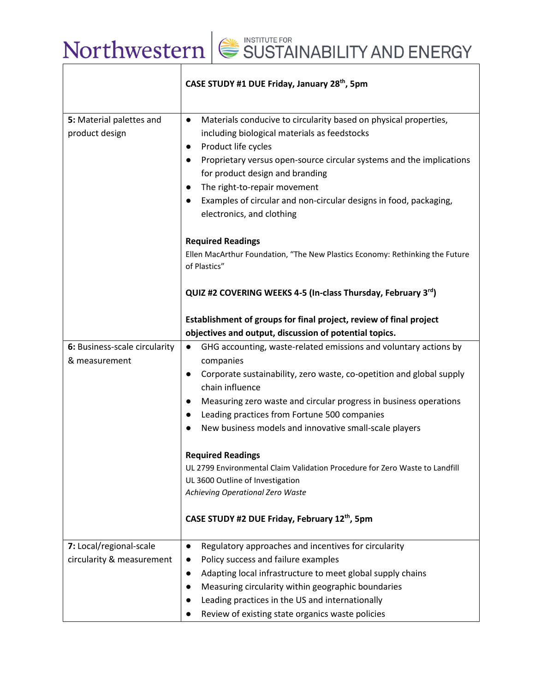|                                                      | CASE STUDY #1 DUE Friday, January 28th, 5pm                                                                                                                                                                                                                                                                                                                                                                                                           |
|------------------------------------------------------|-------------------------------------------------------------------------------------------------------------------------------------------------------------------------------------------------------------------------------------------------------------------------------------------------------------------------------------------------------------------------------------------------------------------------------------------------------|
| 5: Material palettes and<br>product design           | Materials conducive to circularity based on physical properties,<br>$\bullet$<br>including biological materials as feedstocks<br>Product life cycles<br>$\bullet$<br>Proprietary versus open-source circular systems and the implications<br>$\bullet$<br>for product design and branding<br>The right-to-repair movement<br>$\bullet$<br>Examples of circular and non-circular designs in food, packaging,<br>$\bullet$<br>electronics, and clothing |
|                                                      | <b>Required Readings</b><br>Ellen MacArthur Foundation, "The New Plastics Economy: Rethinking the Future<br>of Plastics"                                                                                                                                                                                                                                                                                                                              |
|                                                      | QUIZ #2 COVERING WEEKS 4-5 (In-class Thursday, February 3rd)                                                                                                                                                                                                                                                                                                                                                                                          |
|                                                      | Establishment of groups for final project, review of final project<br>objectives and output, discussion of potential topics.                                                                                                                                                                                                                                                                                                                          |
| 6: Business-scale circularity<br>& measurement       | GHG accounting, waste-related emissions and voluntary actions by<br>$\bullet$<br>companies<br>Corporate sustainability, zero waste, co-opetition and global supply<br>$\bullet$<br>chain influence<br>Measuring zero waste and circular progress in business operations<br>$\bullet$<br>Leading practices from Fortune 500 companies<br>$\bullet$<br>New business models and innovative small-scale players<br>$\bullet$                              |
|                                                      | <b>Required Readings</b><br>UL 2799 Environmental Claim Validation Procedure for Zero Waste to Landfill<br>UL 3600 Outline of Investigation<br>Achieving Operational Zero Waste<br>CASE STUDY #2 DUE Friday, February 12th, 5pm                                                                                                                                                                                                                       |
| 7: Local/regional-scale<br>circularity & measurement | Regulatory approaches and incentives for circularity<br>$\bullet$<br>Policy success and failure examples<br>$\bullet$<br>Adapting local infrastructure to meet global supply chains<br>$\bullet$<br>Measuring circularity within geographic boundaries<br>$\bullet$<br>Leading practices in the US and internationally<br>Review of existing state organics waste policies                                                                            |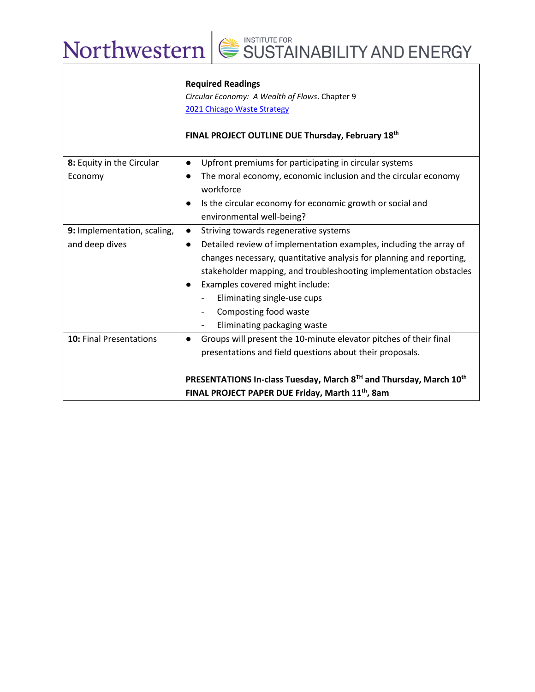|                                | <b>Required Readings</b><br>Circular Economy: A Wealth of Flows. Chapter 9<br>2021 Chicago Waste Strategy<br>FINAL PROJECT OUTLINE DUE Thursday, February 18th                                                                                                                                                                                                                                  |  |
|--------------------------------|-------------------------------------------------------------------------------------------------------------------------------------------------------------------------------------------------------------------------------------------------------------------------------------------------------------------------------------------------------------------------------------------------|--|
| 8: Equity in the Circular      | Upfront premiums for participating in circular systems<br>$\bullet$                                                                                                                                                                                                                                                                                                                             |  |
| Economy                        | The moral economy, economic inclusion and the circular economy<br>$\bullet$<br>workforce                                                                                                                                                                                                                                                                                                        |  |
|                                | Is the circular economy for economic growth or social and<br>$\bullet$                                                                                                                                                                                                                                                                                                                          |  |
|                                | environmental well-being?                                                                                                                                                                                                                                                                                                                                                                       |  |
| 9: Implementation, scaling,    | Striving towards regenerative systems<br>$\bullet$                                                                                                                                                                                                                                                                                                                                              |  |
| and deep dives                 | Detailed review of implementation examples, including the array of<br>$\bullet$<br>changes necessary, quantitative analysis for planning and reporting,<br>stakeholder mapping, and troubleshooting implementation obstacles<br>Examples covered might include:<br>$\bullet$<br>Eliminating single-use cups<br>Composting food waste<br>$\overline{\phantom{0}}$<br>Eliminating packaging waste |  |
| <b>10: Final Presentations</b> | Groups will present the 10-minute elevator pitches of their final<br>$\bullet$<br>presentations and field questions about their proposals.<br>PRESENTATIONS In-class Tuesday, March 8TH and Thursday, March 10th<br>FINAL PROJECT PAPER DUE Friday, Marth 11 <sup>th</sup> , 8am                                                                                                                |  |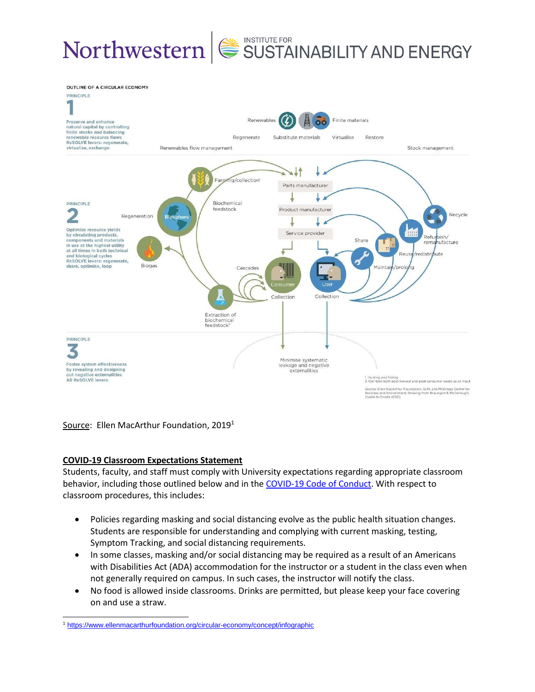

Source: Ellen MacArthur Foundation, 2019<sup>1</sup>

### **COVID-19 Classroom Expectations Statement**

Students, faculty, and staff must comply with University expectations regarding appropriate classroom behavior, including those outlined below and in the [COVID-19 Code of Conduct.](https://www.northwestern.edu/communitystandards/about-us/northwestern-university-student-expectations-covid-19-code-of-conduct.html) With respect to classroom procedures, this includes:

- Policies regarding masking and social distancing evolve as the public health situation changes. Students are responsible for understanding and complying with current masking, testing, Symptom Tracking, and social distancing requirements.
- In some classes, masking and/or social distancing may be required as a result of an Americans with Disabilities Act (ADA) accommodation for the instructor or a student in the class even when not generally required on campus. In such cases, the instructor will notify the class.
- No food is allowed inside classrooms. Drinks are permitted, but please keep your face covering on and use a straw.

<sup>1</sup> <https://www.ellenmacarthurfoundation.org/circular-economy/concept/infographic>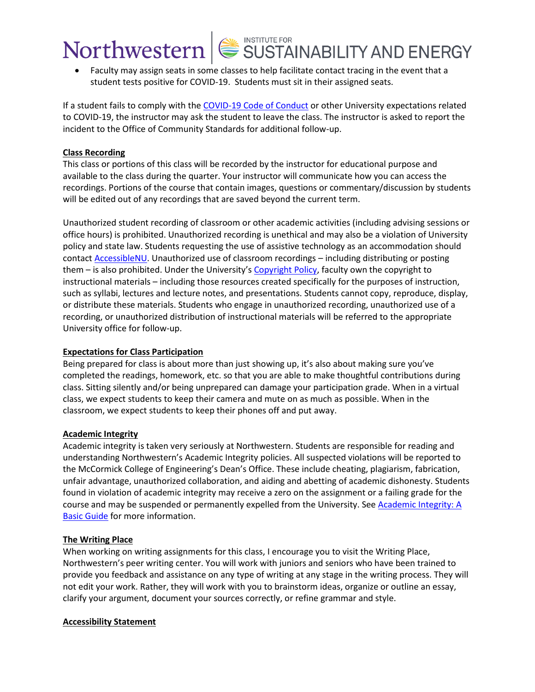• Faculty may assign seats in some classes to help facilitate contact tracing in the event that a student tests positive for COVID-19. Students must sit in their assigned seats.

If a student fails to comply with th[e COVID-19 Code of Conduct](https://www.northwestern.edu/communitystandards/about-us/northwestern-university-student-expectations-covid-19-code-of-conduct.html) or other University expectations related to COVID-19, the instructor may ask the student to leave the class. The instructor is asked to report the incident to the Office of Community Standards for additional follow-up.

### **Class Recording**

This class or portions of this class will be recorded by the instructor for educational purpose and available to the class during the quarter. Your instructor will communicate how you can access the recordings. Portions of the course that contain images, questions or commentary/discussion by students will be edited out of any recordings that are saved beyond the current term.

Unauthorized student recording of classroom or other academic activities (including advising sessions or office hours) is prohibited. Unauthorized recording is unethical and may also be a violation of University policy and state law. Students requesting the use of assistive technology as an accommodation should contact **AccessibleNU**. Unauthorized use of classroom recordings - including distributing or posting them – is also prohibited. Under the University's [Copyright Policy,](https://www.invo.northwestern.edu/invention-disclosure/policies-forms/copyright-policy/) faculty own the copyright to instructional materials – including those resources created specifically for the purposes of instruction, such as syllabi, lectures and lecture notes, and presentations. Students cannot copy, reproduce, display, or distribute these materials. Students who engage in unauthorized recording, unauthorized use of a recording, or unauthorized distribution of instructional materials will be referred to the appropriate University office for follow-up.

### **Expectations for Class Participation**

Being prepared for class is about more than just showing up, it's also about making sure you've completed the readings, homework, etc. so that you are able to make thoughtful contributions during class. Sitting silently and/or being unprepared can damage your participation grade. When in a virtual class, we expect students to keep their camera and mute on as much as possible. When in the classroom, we expect students to keep their phones off and put away.

### **Academic Integrity**

Academic integrity is taken very seriously at Northwestern. Students are responsible for reading and understanding Northwestern's Academic Integrity policies. All suspected violations will be reported to the McCormick College of Engineering's Dean's Office. These include cheating, plagiarism, fabrication, unfair advantage, unauthorized collaboration, and aiding and abetting of academic dishonesty. Students found in violation of academic integrity may receive a zero on the assignment or a failing grade for the course and may be suspended or permanently expelled from the University. See Academic Integrity: A [Basic Guide](https://www.northwestern.edu/provost/policies/academic-integrity/Academic-Integrity-Guide-August-2019.pdf) for more information.

### **The Writing Place**

When working on writing assignments for this class, I encourage you to visit the Writing Place, Northwestern's peer writing center. You will work with juniors and seniors who have been trained to provide you feedback and assistance on any type of writing at any stage in the writing process. They will not edit your work. Rather, they will work with you to brainstorm ideas, organize or outline an essay, clarify your argument, document your sources correctly, or refine grammar and style.

### **Accessibility Statement**